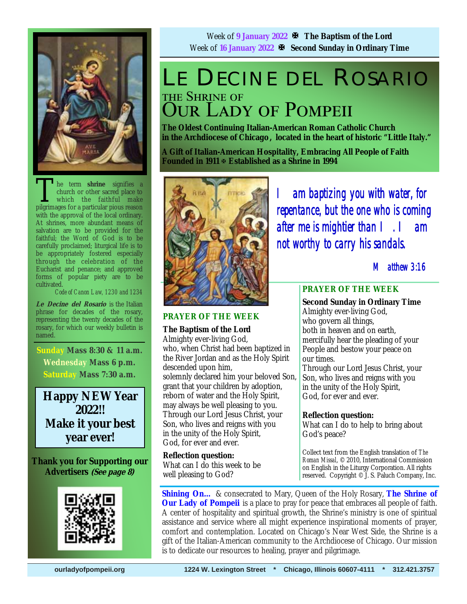

he term **shrine** signifies a church or other sacred place to which the faithful make pilgrimages for a particular pious reason with the approval of the local ordinary. At shrines, more abundant means of salvation are to be provided for the faithful; the Word of God is to be carefully proclaimed; liturgical life is to be appropriately fostered especially through the celebration of the Eucharist and penance; and approved forms of popular piety are to be cultivated.

*Code of Canon Law, 1230 and 1234* 

**Le Decine del Rosario** is the Italian phrase for decades of the rosary, representing the twenty decades of the rosary, for which our weekly bulletin is named.

**Sunday Mass 8:30 & 11 a.m. Wednesday Mass 6 p.m. Saturday Mass 7:30 a.m.** 

**Happy NEW Year 2022!! Make it your best year ever!** 

**Thank you for Supporting our Advertisers (See page 8)**



Week of **9 January 2022 The Baptism of the Lord** Week of **16 January 2022 Second Sunday in Ordinary Time**

# LE DECINE DEL ROSARIO THE SHRINE OF **OUR LADY OF POMPEII**

**The Oldest Continuing Italian-American Roman Catholic Church in the Archdiocese of Chicago , located in the heart of historic "Little Italy."** 

**A Gift of Italian-American Hospitality, Embracing All People of Faith Founded in 1911 Established as a Shrine in 1994**



**PRAYER OF THE WEEK** 

## **The Baptism of the Lord**

Almighty ever-living God, who, when Christ had been baptized in the River Jordan and as the Holy Spirit descended upon him, solemnly declared him your beloved Son, grant that your children by adoption, reborn of water and the Holy Spirit, may always be well pleasing to you. Through our Lord Jesus Christ, your Son, who lives and reigns with you in the unity of the Holy Spirit, God, for ever and ever.

**Reflection question:**  What can I do this week to be well pleasing to God?

*I am baptizing you with water, for repentance, but the one who is coming after me is mightier than I. I am not worthy to carry his sandals.* 

 *Matthew 3:16* 

# **PRAYER OF THE WEEK**

**Second Sunday in Ordinary Time**  Almighty ever-living God, who govern all things, both in heaven and on earth, mercifully hear the pleading of your People and bestow your peace on our times.

Through our Lord Jesus Christ, your Son, who lives and reigns with you in the unity of the Holy Spirit, God, for ever and ever.

# **Reflection question:**

What can I do to help to bring about God's peace?

Collect text from the English translation of *The Roman Missal*, © 2010, International Commission on English in the Liturgy Corporation. All rights reserved. Copyright © J. S. Paluch Company, Inc.

**Shining On…** & consecrated to Mary, Queen of the Holy Rosary, **The Shrine of Our Lady of Pompeii** is a place to pray for peace that embraces all people of faith. A center of hospitality and spiritual growth, the Shrine's ministry is one of spiritual assistance and service where all might experience inspirational moments of prayer, comfort and contemplation. Located on Chicago's Near West Side, the Shrine is a gift of the Italian-American community to the Archdiocese of Chicago. Our mission is to dedicate our resources to healing, prayer and pilgrimage.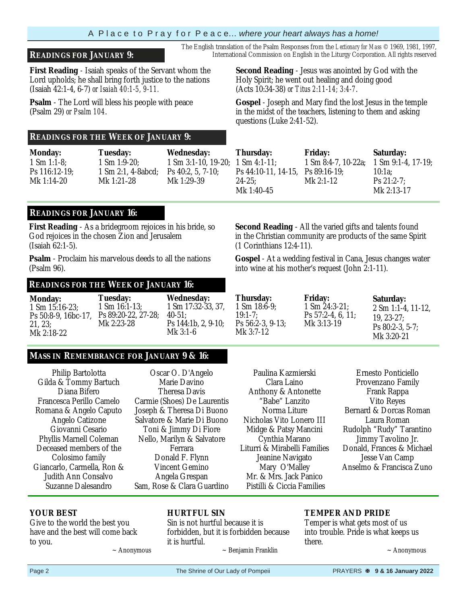# Page 2 **The Shrine of Our Lady of Pompeii** PRAYERS **<b> 9 & 16 January 2022 PRAYERS <b>8 9 & 16 January 2022**

forbidden, but it is forbidden because

~ Benjamin Franklin

to you.

**YOUR BEST** 

## A P l a c e t o P r a y f o r P e a c e… *where your heart always has a home!*

# **READINGS FOR JANUARY 9:** International Commission on English in the Liturgy Corporation. All rights reserved

**First Reading** - Isaiah speaks of the Servant whom the Lord upholds; he shall bring forth justice to the nations (Isaiah 42:1-4, 6-7) *or Isaiah 40:1-5, 9-11.*

**Psalm** - The Lord will bless his people with peace (Psalm 29) *or Psalm 104*.

### **READINGS FOR THE WEEK OF JANUARY 9:**

**Monday:**  1 Sm 1:1-8; Ps 116:12-19; Mk 1:14‑20

**Tuesday:** 1 Sm 1:9-20;

Mk 1:21-28

1 Sm 2:1, 4-8abcd; **Wednesday:**  1 Sm 3:1-10, 19-20; 1 Sm 4:1-11; Ps 40:2, 5, 7-10; Mk 1:29‑39

# **READINGS FOR JANUARY 16:**

**First Reading** - As a bridegroom rejoices in his bride, so God rejoices in the chosen Zion and Jerusalem (Isaiah 62:1-5).

**Psalm** - Proclaim his marvelous deeds to all the nations (Psalm 96).

### **READINGS FOR THE WEEK OF JANUARY 16:**

**Tuesday:**

**Monday:** 1 Sm 15:16-23; Ps 50:8-9, 16bc-17, Ps 89:20-22, 27-28; 21, 23; Mk 2:18-22

1 Sm 16:1-13; Mk 2:23-28

**Wednesday:**  1 Sm 17:32-33, 37, 40-51; Ps 144:1b, 2, 9-10; Mk 3:1-6

# **MASS IN REMEMBRANCE FOR JANUARY 9 & 16:**

 $\sim$  Anonymous

Philip Bartolotta Gilda & Tommy Bartuch Diana Bifero Francesca Perillo Camelo Romana & Angelo Caputo Angelo Catizone Giovanni Cesario Phyllis Marnell Coleman Deceased members of the Colosimo family Giancarlo, Carmella, Ron & Judith Ann Consalvo Suzanne Dalesandro

Give to the world the best you have and the best will come back

Oscar O. D'Angelo Marie Davino Theresa Davis Carmie (Shoes) De Laurentis Joseph & Theresa Di Buono Salvatore & Marie Di Buono Toni & Jimmy Di Fiore Nello, Marilyn & Salvatore Ferrara Donald F. Flynn Vincent Gemino Angela Grespan Sam, Rose & Clara Guardino

**HURTFUL SIN**

it is hurtful.

Sin is not hurtful because it is

Clara Laino Anthony & Antonette "Babe" Lanzito Norma Liture Nicholas Vito Lonero III Midge & Patsy Mancini Cynthia Marano Liturri & Mirabelli Families Jeanine Navigato Mary O'Malley Mr. & Mrs. Jack Panico Pistilli & Ciccia Families

Paulina Kazmierski

**TEMPER AND PRIDE** 

Temper is what gets most of us into trouble. Pride is what keeps us there.

 $\sim$  Anonymous

**Second Reading** - Jesus was anointed by God with the Holy Spirit; he went out healing and doing good (Acts 10:34-38) *or Titus 2:11-14; 3:4-7*.

The English translation of the Psalm Responses from the *Lectionary for Mass* © 1969, 1981, 1997,

**Gospel** - Joseph and Mary find the lost Jesus in the temple in the midst of the teachers, listening to them and asking questions (Luke 2:41-52).

**Thursday:** Ps 44:10-11, 14-15, Ps 89:16-19; 24-25; Mk 1:40-45 **Friday:**  1 Sm 8:4-7, 10-22a; Mk 2:1-12 **Saturday:** 1 Sm 9:1-4, 17-19; 10:1a; Ps 21:2-7; Mk 2:13‑17

**Second Reading** - All the varied gifts and talents found in the Christian community are products of the same Spirit (1 Corinthians 12:4-11).

**Gospel** - At a wedding festival in Cana, Jesus changes water into wine at his mother's request (John 2:1-11).

**Thursday:** 1 Sm 18:6-9; 19:1-7; Ps 56:2-3, 9-13; Mk 3:7-12

**Friday:** 1 Sm 24:3-21; Ps 57:2-4, 6, 11; Mk 3:13-19

**Saturday:** 2 Sm 1:1-4, 11-12, 19, 23-27; Ps 80:2-3, 5-7; Mk 3:20-21

Ernesto Ponticiello Provenzano Family Frank Rappa Vito Reyes Bernard & Dorcas Roman Laura Roman Rudolph "Rudy" Tarantino Jimmy Tavolino Jr. Donald, Frances & Michael Jesse Van Camp Anselmo & Francisca Zuno

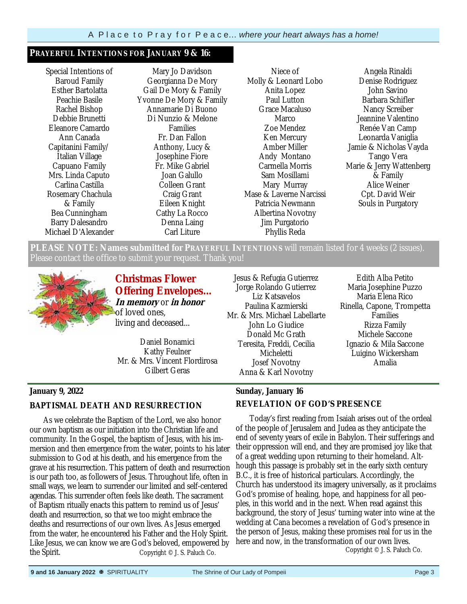### **PRAYERFUL INTENTIONS FOR JANUARY 9 & 16:**

Special Intentions of Baroud Family Esther Bartolatta Peachie Basile Rachel Bishop Debbie Brunetti Eleanore Camardo Ann Canada Capitanini Family/ Italian Village Capuano Family Mrs. Linda Caputo Carlina Castilla Rosemary Chachula & Family Bea Cunningham Barry Dalesandro Michael D'Alexander

Mary Jo Davidson Georgianna De Mory Gail De Mory & Family Yvonne De Mory & Family Annamarie Di Buono Di Nunzio & Melone Families Fr. Dan Fallon Anthony, Lucy & Josephine Fiore Fr. Mike Gabriel Joan Galullo Colleen Grant Craig Grant Eileen Knight Cathy La Rocco Denna Laing Carl Liture

Niece of Molly & Leonard Lobo Anita Lopez Paul Lutton Grace Macaluso Marco Zoe Mendez Ken Mercury Amber Miller Andy Montano Carmella Morris Sam Mosillami Mary Murray Mase & Laverne Narcissi Patricia Newmann Albertina Novotny Jim Purgatorio Phyllis Reda

Angela Rinaldi Denise Rodriguez John Savino Barbara Schifler Nancy Screiber Jeannine Valentino Renée Van Camp Leonarda Vaniglia Jamie & Nicholas Vayda Tango Vera Marie & Jerry Wattenberg & Family Alice Weiner Cpt. David Weir Souls in Purgatory

**PLEASE NOTE: Names submitted for PRAYERFUL INTENTIONS** will remain listed for 4 weeks (2 issues). Please contact the office to submit your request. Thank you!



**Christmas Flower Offering Envelopes… In memory** or **in honor**  of loved ones, living and deceased...

Daniel Bonamici Kathy Feulner Mr. & Mrs. Vincent Flordirosa Gilbert Geras

Jesus & Refugia Gutierrez Jorge Rolando Gutierrez Liz Katsavelos Paulina Kazmierski Mr. & Mrs. Michael Labellarte John Lo Giudice Donald Mc Grath Teresita, Freddi, Cecilia Micheletti Josef Novotny Anna & Karl Novotny

Edith Alba Petito Maria Josephine Puzzo Maria Elena Rico Rinella, Capone, Trompetta Families Rizza Family Michele Saccone Ignazio & Mila Saccone Luigino Wickersham Amalia

# **Sunday, January 16 REVELATION OF GOD'S PRESENCE**

 Today's first reading from Isaiah arises out of the ordeal of the people of Jerusalem and Judea as they anticipate the end of seventy years of exile in Babylon. Their sufferings and their oppression will end, and they are promised joy like that of a great wedding upon returning to their homeland. Although this passage is probably set in the early sixth century B.C., it is free of historical particulars. Accordingly, the Church has understood its imagery universally, as it proclaims God's promise of healing, hope, and happiness for all peoples, in this world and in the next. When read against this background, the story of Jesus' turning water into wine at the wedding at Cana becomes a revelation of God's presence in the person of Jesus, making these promises real for us in the here and now, in the transformation of our own lives.

Copyright © J. S. Paluch Co.

### **January 9, 2022**

### **BAPTISMAL DEATH AND RESURRECTION**

 As we celebrate the Baptism of the Lord, we also honor our own baptism as our initiation into the Christian life and community. In the Gospel, the baptism of Jesus, with his immersion and then emergence from the water, points to his later submission to God at his death, and his emergence from the grave at his resurrection. This pattern of death and resurrection is our path too, as followers of Jesus. Throughout life, often in small ways, we learn to surrender our limited and self-centered agendas. This surrender often feels like death. The sacrament of Baptism ritually enacts this pattern to remind us of Jesus' death and resurrection, so that we too might embrace the deaths and resurrections of our own lives. As Jesus emerged from the water, he encountered his Father and the Holy Spirit. Like Jesus, we can know we are God's beloved, empowered by the Spirit. Copyright © J. S. Paluch Co.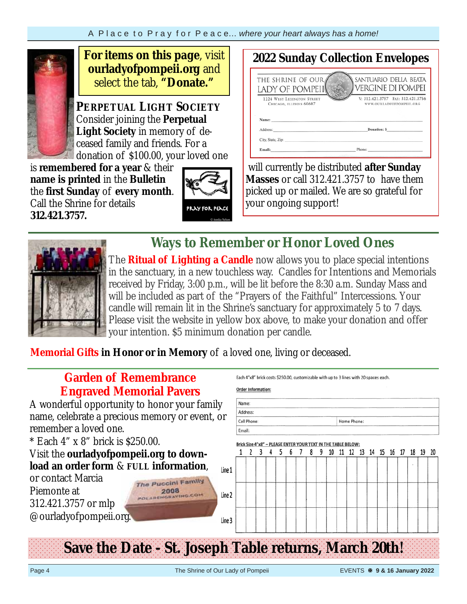

**For items on this page**, visit **ourladyofpompeii.org** and select the tab, **"Donate."**

**PERPETUAL LIGHT SOCIETY** Consider joining the **Perpetual Light Society** in memory of deceased family and friends. For a donation of \$100.00, your loved one

is **remembered for a year** & their **name is printed** in the **Bulletin**  the **first Sunday** of **every month**. Call the Shrine for details **312.421.3757.** 



#### **2022 Sunday Collection Envelopes**  THE SHRINE OF OUR SANTUARIO DELLA BEATA **VERGINE DI POMPEI** LADY OF POMPEII V: 312.421.3757 FAX: 312.421.3756 1224 WEST LEXINGTON STREET CHICAGO, ILLINOIS 60607 **WWW.OURLADYOFPOMPEIL.ORG** Donation: S Address City, State, Zip: Email:

 will currently be distributed **after Sunday Masses** or call 312.421.3757 to have them picked up or mailed. We are so grateful for your ongoing support!



**Ways to Remember or Honor Loved Ones** 

The **Ritual of Lighting a Candle** now allows you to place special intentions in the sanctuary, in a new touchless way. Candles for Intentions and Memorials received by Friday, 3:00 p.m., will be lit before the 8:30 a.m. Sunday Mass and will be included as part of the "Prayers of the Faithful" Intercessions. Your candle will remain lit in the Shrine's sanctuary for approximately 5 to 7 days. Please visit the website in yellow box above, to make your donation and offer your intention. \$5 minimum donation per candle.

**Memorial Gifts in Honor or in Memory** of a loved one, living or deceased.

| <b>Garden of Remembrance</b>                                 |        |                           |  |  |                           | Each 4"x8" brick costs \$250.00, customizable with up to 3 lines with 20 spaces each. |                  |  |  |  |  |
|--------------------------------------------------------------|--------|---------------------------|--|--|---------------------------|---------------------------------------------------------------------------------------|------------------|--|--|--|--|
| <b>Engraved Memorial Pavers</b>                              |        | <b>Order Information:</b> |  |  |                           |                                                                                       |                  |  |  |  |  |
| A wonderful opportunity to honor your family                 | Name:  |                           |  |  |                           |                                                                                       |                  |  |  |  |  |
| name, celebrate a precious memory or event, or               |        | Address:<br>Cell Phone:   |  |  |                           |                                                                                       | Home Phone:      |  |  |  |  |
| remember a loved one.                                        | Email: |                           |  |  |                           |                                                                                       |                  |  |  |  |  |
| * Each 4" x 8" brick is \$250.00.                            |        |                           |  |  | PLEASE ENTER YOUR TEXT IN |                                                                                       | THE TABLE BELOW: |  |  |  |  |
| Visit the ourlady of pompeii.org to down-                    |        |                           |  |  |                           |                                                                                       |                  |  |  |  |  |
| load an order form & FULL information,<br>Line 1             |        |                           |  |  |                           |                                                                                       |                  |  |  |  |  |
| or contact Marcia<br><b>The Puccini Family</b>               |        |                           |  |  |                           |                                                                                       |                  |  |  |  |  |
| Piemonte at<br>Line 2<br><b>POLARENGRAVING.COM</b>           |        |                           |  |  |                           |                                                                                       |                  |  |  |  |  |
| 312.421.3757 or mlp                                          |        |                           |  |  |                           |                                                                                       |                  |  |  |  |  |
| @ourladyofpompeii.org.<br>Line 3                             |        |                           |  |  |                           |                                                                                       |                  |  |  |  |  |
|                                                              |        |                           |  |  |                           |                                                                                       |                  |  |  |  |  |
|                                                              |        |                           |  |  |                           |                                                                                       |                  |  |  |  |  |
| <b>Save the Date - St. Joseph Table returns, March 20th!</b> |        |                           |  |  |                           |                                                                                       |                  |  |  |  |  |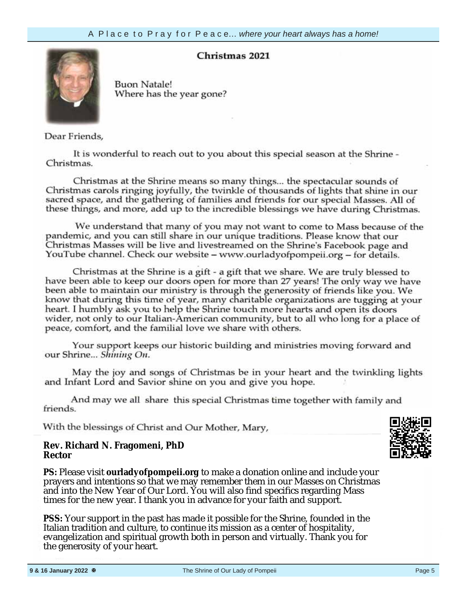# **Christmas 2021**



**Buon Natale!** Where has the year gone?

Dear Friends,

It is wonderful to reach out to you about this special season at the Shrine -Christmas.

your information,  $\alpha$  $Cn$ ristma sacred space, and the gathering of families and friends for our special Masses. All of these things, and more, add up to the incredible blessings we have during Christmas.

We understand that many of you may not want to come to Mass because of the pandemic and you can still share in our unique traditions. Please kn Christmas Masses will be live and livestreamed on the Shrine's YouTube channel. Check our website – www.ourladyofpompeii.org – for details.

Christmas at the Shrine is a gift - a gift that we share. We are truly blessed to have been able to keep our doors open for more than 27 years! The only way we have been able to maintain our ministry is through the generosity of friends like you. We know that during this time of year, many charitable organizations are tugging at your heart. I humbly ask you to help the Shrine touch more hearts and open its doors wider, not only to our Italian-American community, but to all who long for a place of peace, comfort, and the familial love we share with others.

Your support keeps our historic building and ministries moving forward and our Shrine... Shining On.

May the joy and songs of Christmas be in your heart and the twinkling lights and Infant Lord and Savior shine on you and give you hope.

And may we all share this special Christmas time together with family and friends.

With the blessings of Christ and Our Mother, Mary,

### **Rev. Richard N. Fragomeni, PhD Rector**

**PS:** Please visit **ourladyofpompeii.org** to make a donation online and include your prayers and intentions so that we may remember them in our Masses on Christmas and into the New Year of Our Lord. You will also find specifics regarding Mass times for the new year. I thank you in advance for your faith and support.

**PSS:** Your support in the past has made it possible for the Shrine, founded in the Italian tradition and culture, to continue its mission as a center of hospitality, evangelization and spiritual growth both in person and virtually. Thank you for the generosity of your heart.

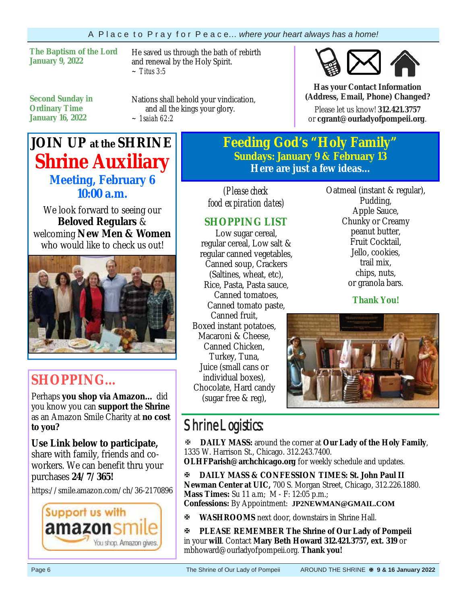**The Baptism of the Lord January 9, 2022** 

He saved us through the bath of rebirth and renewal by the Holy Spirit. *~ Titus 3:5* 

**Second Sunday in Ordinary Time January 16, 2022**

Nations shall behold your vindication, and all the kings your glory. *~ 1saiah 62:2*

# **JOIN UP at the SHRINE Shrine Auxiliary Meeting, February 6 10:00 a.m.**

We look forward to seeing our **Beloved Regulars** & welcoming **New Men & Women**  who would like to check us out!



# **SHOPPING…**

Perhaps **you shop via Amazon…** did you know you can **support the Shrine**  as an Amazon Smile Charity at **no cost to you?** 

**Use Link below to participate,** share with family, friends and coworkers. We can benefit thru your purchases **24/7/365!**

https://smile.amazon.com/ch/36-2170896



**Feeding God's "Holy Family" Sundays: January 9 & February 13 Here are just a few ideas...** 

*(Please check food expiration dates)* 

# **SHOPPING LIST**

Low sugar cereal, regular cereal, Low salt & regular canned vegetables, Canned soup, Crackers (Saltines, wheat, etc), Rice, Pasta, Pasta sauce, Canned tomatoes, Canned tomato paste, Canned fruit, Boxed instant potatoes, Macaroni & Cheese, Canned Chicken, Turkey, Tuna, Juice (small cans or individual boxes), Chocolate, Hard candy (sugar free & reg),

Oatmeal (instant & regular), Pudding, Apple Sauce, Chunky or Creamy peanut butter, Fruit Cocktail, Jello, cookies, trail mix, chips, nuts, or granola bars.

**Has your Contact Information (Address, Email, Phone) Changed?**Please let us know! **312.421.3757**  or **cgrant@ourladyofpompeii.org**.

**Thank You!**



# Shrine Logistics:

**DAILY MASS:** around the corner at **Our Lady of the Holy Family**, 1335 W. Harrison St., Chicago. 312.243.7400.

**OLHFParish@archchicago.org** for weekly schedule and updates.

**DAILY MASS & CONFESSION TIMES: St. John Paul II Newman Center at UIC,** 700 S. Morgan Street, Chicago, 312.226.1880. **Mass Times:** Su 11 a.m; M - F: 12:05 p.m.; **Confessions:** By Appointment: **JP2NEWMAN@GMAIL.COM**

**WASHROOMS** next door, downstairs in Shrine Hall.

**PLEASE REMEMBER The Shrine of Our Lady of Pompeii**  in your **will**. Contact **Mary Beth Howard 312.421.3757, ext. 319** or mbhoward@ourladyofpompeii.org. **Thank you!**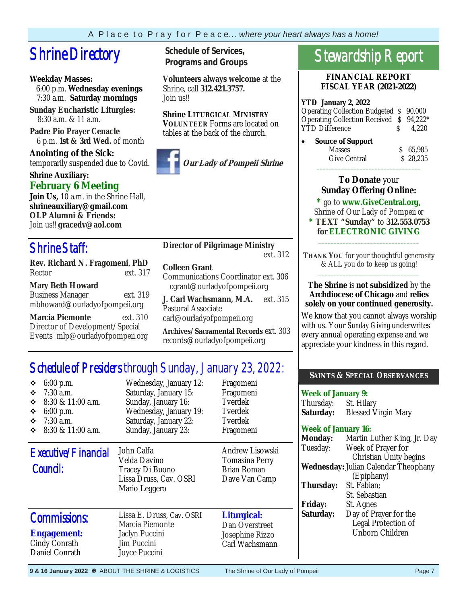# **Shrine Directory** Schedule of Services,

# **Weekday Masses:**

 6:00 p.m. **Wednesday evenings** 7:30 a.m. **Saturday mornings**

**Sunday Eucharistic Liturgies:** 8:30 a.m. & 11 a.m.

**Padre Pio Prayer Cenacle** 6 p.m. **1st & 3rd Wed.** of month

**Anointing of the Sick:**  temporarily suspended due to Covid.

# **Shrine Auxiliary: February 6 Meeting**

**Join Us,** 10 a.m. in the Shrine Hall, **shrineauxiliary@gmail.com OLP Alumni & Friends:**  Join us!! **gracedv@aol.com** 

# Shrine Staff:

**Rev. Richard N. Fragomeni**, **PhD**  Rector ext. 317

# **Mary Beth Howard**

Business Manager ext. 319 mbhoward@ourladyofpompeii.org

**Marcia Piemonte** ext. 310 Director of Development/Special Events mlp@ourladyofpompeii.org

**Programs and Groups**

**Volunteers always welcome** at the Shrine, call **312.421.3757.**  Join us!!

**Shrine LITURGICAL MINISTRY VOLUNTEER** Forms are located on tables at the back of the church.



**Our Lady of Pompeii Shrine** 

# **Director of Pilgrimage Ministry**

ext. 312

# **Colleen Grant**

Communications Coordinator ext. 306 cgrant@ourladyofpompeii.org

**J. Carl Wachsmann, M.A.** ext. 315 Pastoral Associate carl@ourladyofpompeii.org

**Archives/Sacramental Records** ext. 303 records@ourladyofpompeii.org

# Schedule of Presiders through Sunday, January 23, 2022:

| $6:00$ p.m.<br>❖<br>$7:30$ a.m.<br>❖<br>8:30 & 11:00 a.m.<br>❖<br>❖<br>$6:00$ p.m.<br>$7:30$ a.m.<br>$\ddot{\bullet}$<br>$8:30 \& 11:00$ a.m.<br>❖ | Wednesday, January 12:<br>Saturday, January 15:<br>Sunday, January 16:<br>Wednesday, January 19:<br>Saturday, January 22:<br>Sunday, January 23: | Fragomeni<br>Fragomeni<br>Tverdek<br>Tverdek<br>Tverdek<br>Fragomeni |
|----------------------------------------------------------------------------------------------------------------------------------------------------|--------------------------------------------------------------------------------------------------------------------------------------------------|----------------------------------------------------------------------|
| Executive/Financial<br>Council:                                                                                                                    | John Calfa<br>Velda Davino<br>Tracey Di Buono<br>Lissa Druss, Cav. OSRI<br>Mario Leggero                                                         | Andrew Lisowski<br>Tomasina Perry<br>Brian Roman<br>Dave Van Camp    |
| <b>Commissions:</b><br><b>Engagement:</b><br>Cindy Conrath<br>Daniel Conrath                                                                       | Lissa E. Druss, Cav. OSRI<br>Marcia Piemonte<br>Jaclyn Puccini<br>Jim Puccini<br>Joyce Puccini                                                   | Liturgical:<br>Dan Overstreet<br>Josephine Rizzo<br>Carl Wachsmann   |

# Stewardship Report

### **FINANCIAL REPORT FISCAL YEAR (2021-2022)**

### **YTD January 2, 2022**

| Operating Collection Budgeted \$90,000   |       |
|------------------------------------------|-------|
| Operating Collection Received \$ 94,222* |       |
| <b>YTD Difference</b>                    | 4.220 |

 **Source of Support Masses** Give Central

| S | 65,985   |
|---|----------|
|   | \$28,235 |

# **To Donate** your **Sunday Offering Online:**

 $\overline{\phantom{a}}$  ,  $\overline{\phantom{a}}$  ,  $\overline{\phantom{a}}$  ,  $\overline{\phantom{a}}$  ,  $\overline{\phantom{a}}$  ,  $\overline{\phantom{a}}$  ,  $\overline{\phantom{a}}$  ,  $\overline{\phantom{a}}$  ,  $\overline{\phantom{a}}$  ,  $\overline{\phantom{a}}$  ,  $\overline{\phantom{a}}$  ,  $\overline{\phantom{a}}$  ,  $\overline{\phantom{a}}$  ,  $\overline{\phantom{a}}$  ,  $\overline{\phantom{a}}$  ,  $\overline{\phantom{a}}$ 

**\*** go to **www.GiveCentral.org,**

Shrine of Our Lady of Pompeii *or*  **\* TEXT "Sunday"** to **312.553.0753 for ELECTRONIC GIVING**

**THANK YOU** for your thoughtful generosity & ALL you do to keep us going! \_\_\_\_\_\_\_\_\_\_\_\_\_\_\_\_\_\_\_\_\_\_\_\_\_\_\_\_\_\_\_\_\_

\_\_\_\_\_\_\_\_\_\_\_\_\_\_\_\_\_\_\_\_\_\_\_\_\_\_\_\_\_\_\_\_\_

# **The Shrine** is **not subsidized** by the **Archdiocese of Chicago** and **relies solely on your continued generosity.**

We know that you cannot always worship with us. Your *Sunday Giving* underwrites every annual operating expense and we appreciate your kindness in this regard.

# **SAINTS & SPECIAL OBSERVANCES**

# **Week of January 9:**

Thursday: St. Hilary **Saturday:** Blessed Virgin Mary

# **Week of January 16:**

| <b>Monday:</b> | Martin Luther King, Jr. Day                 |
|----------------|---------------------------------------------|
| Tuesday:       | Week of Prayer for                          |
|                | Christian Unity begins                      |
|                | <b>Wednesday:</b> Julian Calendar Theophany |
|                | (Epiphany)                                  |
| Thursday:      | St. Fabian:                                 |
|                | St. Sebastian                               |
| <b>Friday:</b> | St. Agnes                                   |
| Saturday:      | Day of Prayer for the                       |
|                | Legal Protection of                         |
|                | Unborn Children                             |
|                |                                             |